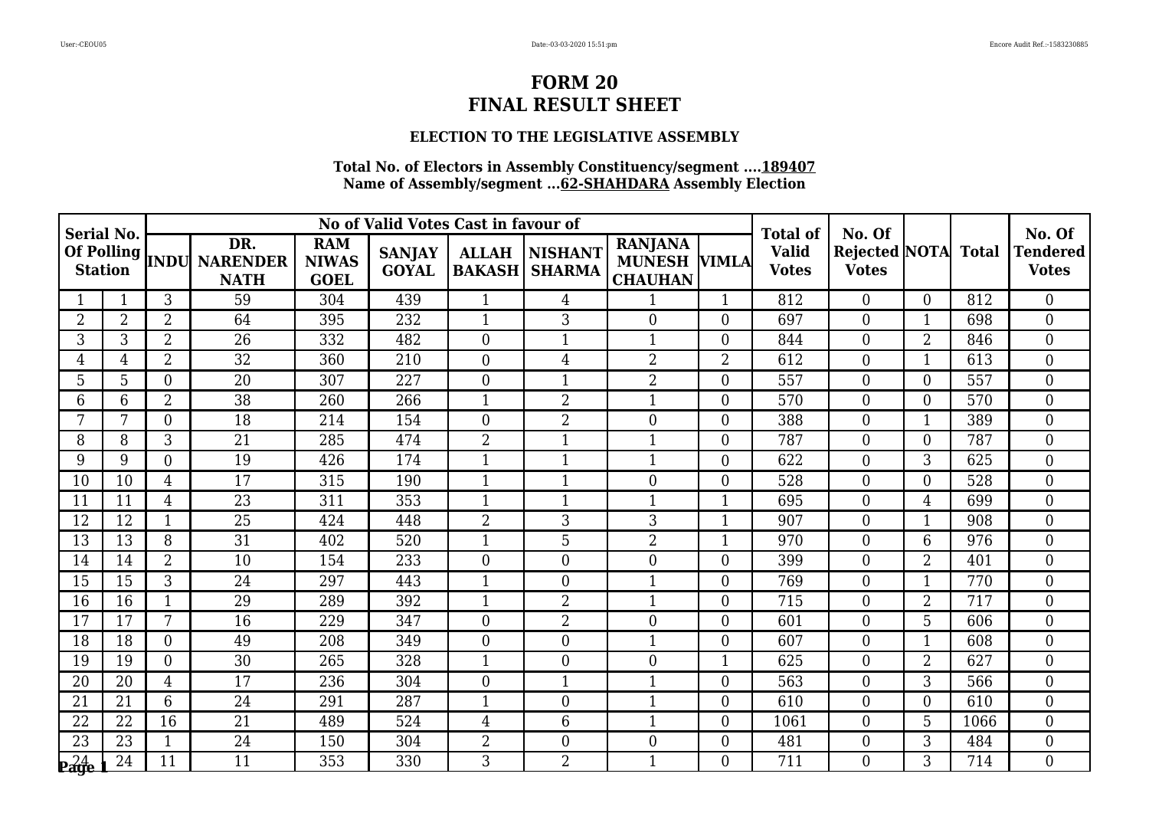# **ELECTION TO THE LEGISLATIVE ASSEMBLY**

| <b>Serial No.</b> |                |                |                                                 |                                           | No of Valid Votes Cast in favour of |                               |                          |                                                         |                  | <b>Total of</b>              | No. Of                                     |                |      | No. Of                          |
|-------------------|----------------|----------------|-------------------------------------------------|-------------------------------------------|-------------------------------------|-------------------------------|--------------------------|---------------------------------------------------------|------------------|------------------------------|--------------------------------------------|----------------|------|---------------------------------|
|                   |                |                | DR.<br>Of Polling  INDU NARENDER<br><b>NATH</b> | <b>RAM</b><br><b>NIWAS</b><br><b>GOEL</b> | <b>SANJAY</b><br><b>GOYAL</b>       | <b>ALLAH</b><br><b>BAKASH</b> | NISHANT<br><b>SHARMA</b> | <b>RANJANA</b><br><b>MUNESH VIMLA</b><br><b>CHAUHAN</b> |                  | <b>Valid</b><br><b>Votes</b> | <b>Rejected NOTA</b> Total<br><b>Votes</b> |                |      | <b>Tendered</b><br><b>Votes</b> |
|                   |                | 3              | 59                                              | 304                                       | 439                                 | $\mathbf{1}$                  | $\overline{4}$           | $\mathbf 1$                                             | $\mathbf{1}$     | 812                          | $\Omega$                                   | $\Omega$       | 812  | $\theta$                        |
| 2                 | $\overline{2}$ | 2              | 64                                              | 395                                       | 232                                 | 1                             | 3                        | $\overline{0}$                                          | $\boldsymbol{0}$ | 697                          | $\overline{0}$                             |                | 698  | $\overline{0}$                  |
| 3                 | 3              | $\overline{2}$ | 26                                              | 332                                       | 482                                 | $\Omega$                      | $\mathbf{1}$             | $\mathbf{1}$                                            | $\boldsymbol{0}$ | 844                          | $\overline{0}$                             | $\overline{2}$ | 846  | $\overline{0}$                  |
| 4                 | $\overline{4}$ | $\overline{2}$ | $\overline{32}$                                 | 360                                       | 210                                 | $\Omega$                      | 4                        | $\overline{2}$                                          | $\overline{2}$   | 612                          | $\overline{0}$                             | $\mathbf{1}$   | 613  | $\overline{0}$                  |
| 5                 | 5              | $\Omega$       | 20                                              | 307                                       | 227                                 | $\overline{0}$                | 1                        | $\overline{2}$                                          | $\boldsymbol{0}$ | 557                          | $\overline{0}$                             | $\Omega$       | 557  | $\overline{0}$                  |
| 6                 | 6              | $\overline{2}$ | 38                                              | 260                                       | 266                                 | 1                             | $\overline{2}$           | $\mathbf{1}$                                            | $\boldsymbol{0}$ | 570                          | $\mathbf{0}$                               | $\overline{0}$ | 570  | $\overline{0}$                  |
| 7                 | 7              | $\theta$       | 18                                              | 214                                       | 154                                 | $\overline{0}$                | $\overline{2}$           | $\theta$                                                | $\boldsymbol{0}$ | 388                          | $\overline{0}$                             | $\mathbf{1}$   | 389  | $\overline{0}$                  |
| 8                 | 8              | 3              | 21                                              | 285                                       | 474                                 | $\overline{2}$                | 1                        | 1                                                       | $\overline{0}$   | 787                          | $\overline{0}$                             | $\Omega$       | 787  | $\overline{0}$                  |
| 9                 | 9              | $\overline{0}$ | 19                                              | 426                                       | 174                                 | $\mathbf 1$                   | $\mathbf{1}$             |                                                         | $\boldsymbol{0}$ | 622                          | $\mathbf{0}$                               | 3              | 625  | $\overline{0}$                  |
| 10                | 10             | 4              | 17                                              | 315                                       | 190                                 | $\mathbf{1}$                  | 1                        | $\theta$                                                | $\boldsymbol{0}$ | 528                          | $\overline{0}$                             | 0              | 528  | $\theta$                        |
| 11                | 11             | 4              | 23                                              | 311                                       | 353                                 | 1                             | $\mathbf{1}$             | 1                                                       |                  | 695                          | $\overline{0}$                             | $\overline{4}$ | 699  | $\overline{0}$                  |
| 12                | 12             |                | 25                                              | 424                                       | 448                                 | $\overline{2}$                | 3                        | 3                                                       |                  | 907                          | $\overline{0}$                             |                | 908  | $\overline{0}$                  |
| 13                | 13             | 8              | 31                                              | 402                                       | 520                                 | 1                             | 5                        | $\overline{2}$                                          | $\mathbf{1}$     | 970                          | $\overline{0}$                             | 6              | 976  | $\overline{0}$                  |
| 14                | 14             | $\overline{2}$ | 10                                              | 154                                       | 233                                 | $\Omega$                      | $\overline{0}$           | $\overline{0}$                                          | $\boldsymbol{0}$ | 399                          | $\overline{0}$                             | $\overline{2}$ | 401  | $\overline{0}$                  |
| 15                | 15             | 3              | 24                                              | 297                                       | 443                                 | 1                             | $\overline{0}$           |                                                         | $\boldsymbol{0}$ | 769                          | $\overline{0}$                             |                | 770  | $\overline{0}$                  |
| 16                | 16             |                | 29                                              | 289                                       | 392                                 | 1                             | $\overline{2}$           | $\mathbf{1}$                                            | $\boldsymbol{0}$ | 715                          | $\overline{0}$                             | $\overline{2}$ | 717  | $\boldsymbol{0}$                |
| 17                | 17             | 7              | 16                                              | 229                                       | 347                                 | $\Omega$                      | $\overline{2}$           | $\overline{0}$                                          | $\boldsymbol{0}$ | 601                          | $\overline{0}$                             | 5              | 606  | $\boldsymbol{0}$                |
| 18                | 18             | $\Omega$       | 49                                              | 208                                       | 349                                 | $\Omega$                      | $\theta$                 | $\mathbf{1}$                                            | $\overline{0}$   | 607                          | $\theta$                                   | $\mathbf{1}$   | 608  | $\overline{0}$                  |
| 19                | 19             | $\Omega$       | 30                                              | 265                                       | 328                                 | 1                             | $\overline{0}$           | $\overline{0}$                                          |                  | 625                          | $\overline{0}$                             | $\overline{2}$ | 627  | $\overline{0}$                  |
| 20                | 20             | $\overline{4}$ | 17                                              | 236                                       | 304                                 | $\Omega$                      | $\mathbf{1}$             | 1                                                       | $\boldsymbol{0}$ | 563                          | $\overline{0}$                             | 3              | 566  | $\overline{0}$                  |
| 21                | 21             | 6              | 24                                              | 291                                       | 287                                 | 1                             | $\overline{0}$           | $\mathbf 1$                                             | $\overline{0}$   | 610                          | $\overline{0}$                             | $\Omega$       | 610  | $\theta$                        |
| 22                | 22             | 16             | 21                                              | 489                                       | 524                                 | $\overline{4}$                | 6                        | $\mathbf 1$                                             | $\boldsymbol{0}$ | 1061                         | $\overline{0}$                             | 5              | 1066 | $\overline{0}$                  |
| 23                | 23             | $\mathbf{1}$   | 24                                              | 150                                       | 304                                 | $\overline{2}$                | $\overline{0}$           | $\overline{0}$                                          | $\boldsymbol{0}$ | 481                          | $\overline{0}$                             | 3              | 484  | $\boldsymbol{0}$                |
| 24                | 24             | 11             | 11                                              | 353                                       | 330                                 | 3                             | $\overline{2}$           | $\mathbf{1}$                                            | $\Omega$         | 711                          | $\Omega$                                   | 3              | 714  | $\theta$                        |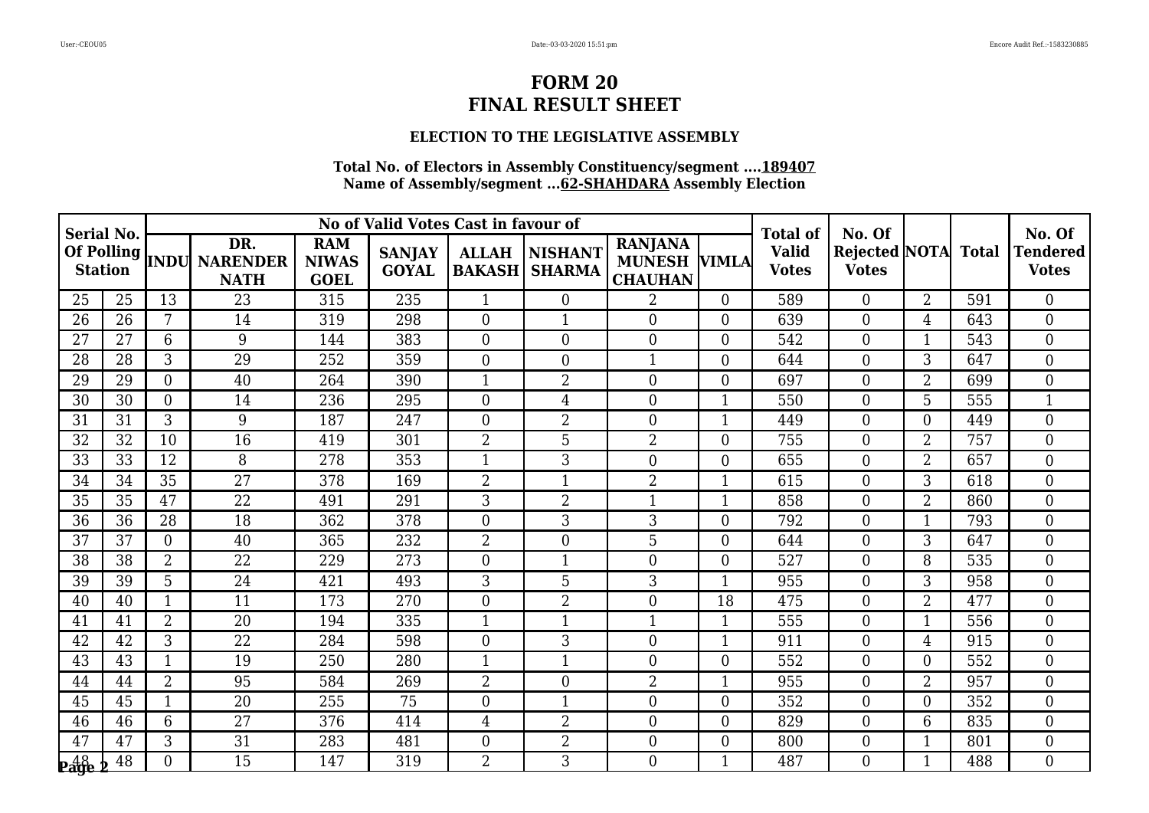# **ELECTION TO THE LEGISLATIVE ASSEMBLY**

| <b>Serial No.</b>                |                 |                 |                                                 |                                           | No of Valid Votes Cast in favour of |                               |                                 |                                                         |                  | <b>Total of</b>              | No. Of                                     |                |     | No. Of                          |
|----------------------------------|-----------------|-----------------|-------------------------------------------------|-------------------------------------------|-------------------------------------|-------------------------------|---------------------------------|---------------------------------------------------------|------------------|------------------------------|--------------------------------------------|----------------|-----|---------------------------------|
|                                  |                 |                 | DR.<br>Of Polling  INDU NARENDER<br><b>NATH</b> | <b>RAM</b><br><b>NIWAS</b><br><b>GOEL</b> | <b>SANJAY</b><br><b>GOYAL</b>       | <b>ALLAH</b><br><b>BAKASH</b> | <b>NISHANT</b><br><b>SHARMA</b> | <b>RANJANA</b><br><b>MUNESH VIMLA</b><br><b>CHAUHAN</b> |                  | <b>Valid</b><br><b>Votes</b> | <b>Rejected NOTA</b> Total<br><b>Votes</b> |                |     | <b>Tendered</b><br><b>Votes</b> |
| 25                               | 25              | 13              | 23                                              | 315                                       | 235                                 | $\mathbf{1}$                  | $\overline{0}$                  | $\overline{2}$                                          | $\overline{0}$   | 589                          | $\overline{0}$                             | $\overline{2}$ | 591 | $\overline{0}$                  |
| 26                               | 26              | 7               | 14                                              | 319                                       | 298                                 | $\Omega$                      | $\mathbf{1}$                    | $\Omega$                                                | $\overline{0}$   | 639                          | $\overline{0}$                             | $\overline{4}$ | 643 | $\overline{0}$                  |
| 27                               | 27              | 6               | 9                                               | 144                                       | 383                                 | $\Omega$                      | $\theta$                        | $\overline{0}$                                          | $\overline{0}$   | 542                          | $\overline{0}$                             |                | 543 | $\overline{0}$                  |
| 28                               | 28              | 3               | $\overline{29}$                                 | 252                                       | 359                                 | $\Omega$                      | $\overline{0}$                  | $\mathbf{1}$                                            | $\overline{0}$   | 644                          | $\overline{0}$                             | 3              | 647 | $\overline{0}$                  |
| 29                               | 29              | $\Omega$        | 40                                              | 264                                       | 390                                 | $\mathbf{1}$                  | $\overline{2}$                  | $\theta$                                                | $\overline{0}$   | 697                          | $\overline{0}$                             | $\overline{2}$ | 699 | $\mathbf{0}$                    |
| 30                               | 30              | $\Omega$        | 14                                              | 236                                       | 295                                 | $\Omega$                      | 4                               | $\overline{0}$                                          | $\mathbf{1}$     | 550                          | $\overline{0}$                             | 5              | 555 | $\mathbf{1}$                    |
| 31                               | 31              | 3               | 9                                               | 187                                       | 247                                 | $\overline{0}$                | $\overline{2}$                  | $\overline{0}$                                          | $\mathbf{1}$     | 449                          | $\overline{0}$                             | $\Omega$       | 449 | $\overline{0}$                  |
| 32                               | 32              | 10              | 16                                              | 419                                       | 301                                 | $\overline{2}$                | 5                               | $\overline{2}$                                          | $\overline{0}$   | 755                          | $\overline{0}$                             | $\overline{2}$ | 757 | $\overline{0}$                  |
| 33                               | $\overline{33}$ | $\overline{12}$ | $\overline{8}$                                  | 278                                       | 353                                 |                               | $\overline{3}$                  | $\overline{0}$                                          | $\boldsymbol{0}$ | 655                          | $\overline{0}$                             | $\overline{2}$ | 657 | $\overline{0}$                  |
| 34                               | 34              | 35              | $\overline{27}$                                 | 378                                       | 169                                 | $\overline{2}$                | $\mathbf{1}$                    | $\overline{2}$                                          | $\mathbf{1}$     | 615                          | $\overline{0}$                             | 3              | 618 | $\theta$                        |
| 35                               | 35              | 47              | 22                                              | 491                                       | 291                                 | 3                             | $\overline{2}$                  | $\mathbf 1$                                             |                  | 858                          | $\overline{0}$                             | $\overline{2}$ | 860 | $\overline{0}$                  |
| 36                               | 36              | 28              | 18                                              | 362                                       | 378                                 | $\Omega$                      | 3                               | 3                                                       | $\boldsymbol{0}$ | 792                          | $\overline{0}$                             |                | 793 | $\overline{0}$                  |
| 37                               | 37              | $\Omega$        | 40                                              | 365                                       | 232                                 | $\overline{2}$                | $\theta$                        | 5                                                       | $\overline{0}$   | 644                          | $\overline{0}$                             | 3              | 647 | $\overline{0}$                  |
| 38                               | 38              | $\overline{2}$  | 22                                              | 229                                       | 273                                 | $\Omega$                      | $\mathbf{1}$                    | $\overline{0}$                                          | $\boldsymbol{0}$ | 527                          | $\overline{0}$                             | 8              | 535 | $\overline{0}$                  |
| 39                               | 39              | 5               | 24                                              | 421                                       | 493                                 | 3                             | 5                               | 3                                                       |                  | 955                          | $\overline{0}$                             | 3              | 958 | $\overline{0}$                  |
| 40                               | 40              | 1               | 11                                              | 173                                       | 270                                 | $\Omega$                      | $\overline{2}$                  | $\Omega$                                                | 18               | 475                          | $\overline{0}$                             | $\overline{2}$ | 477 | $\overline{0}$                  |
| 41                               | 41              | $\overline{2}$  | 20                                              | 194                                       | 335                                 | 1                             | $\mathbf{1}$                    | $\mathbf{1}$                                            |                  | 555                          | $\overline{0}$                             | $\mathbf{1}$   | 556 | $\overline{0}$                  |
| 42                               | 42              | 3               | $\overline{22}$                                 | 284                                       | 598                                 | $\Omega$                      | 3                               | $\overline{0}$                                          | $\mathbf{1}$     | 911                          | $\theta$                                   | 4              | 915 | $\theta$                        |
| 43                               | 43              |                 | 19                                              | 250                                       | 280                                 | 1                             | 1                               | $\overline{0}$                                          | $\boldsymbol{0}$ | 552                          | $\overline{0}$                             | $\Omega$       | 552 | $\overline{0}$                  |
| 44                               | 44              | $\overline{2}$  | 95                                              | 584                                       | 269                                 | $\overline{2}$                | $\overline{0}$                  | $\overline{2}$                                          |                  | 955                          | $\overline{0}$                             | $\overline{2}$ | 957 | $\overline{0}$                  |
| 45                               | 45              | $\mathbf{1}$    | 20                                              | 255                                       | 75                                  | $\Omega$                      | $\mathbf{1}$                    | $\overline{0}$                                          | $\overline{0}$   | 352                          | $\mathbf{0}$                               | $\overline{0}$ | 352 | $\overline{0}$                  |
| 46                               | 46              | 6               | 27                                              | 376                                       | 414                                 | 4                             | $\overline{2}$                  | $\overline{0}$                                          | $\boldsymbol{0}$ | 829                          | $\overline{0}$                             | 6              | 835 | $\overline{0}$                  |
| 47                               | 47              | 3               | $\overline{31}$                                 | 283                                       | 481                                 | $\overline{0}$                | $\overline{2}$                  | $\overline{0}$                                          | $\overline{0}$   | 800                          | $\overline{0}$                             | $\mathbf{1}$   | 801 | $\overline{0}$                  |
| $\mathbf{p}_{\mathbf{age}}^{48}$ | 48              | 0               | 15                                              | 147                                       | 319                                 | $\overline{2}$                | 3                               | $\Omega$                                                | $\mathbf{1}$     | 487                          | $\Omega$                                   | $\mathbf{1}$   | 488 | $\theta$                        |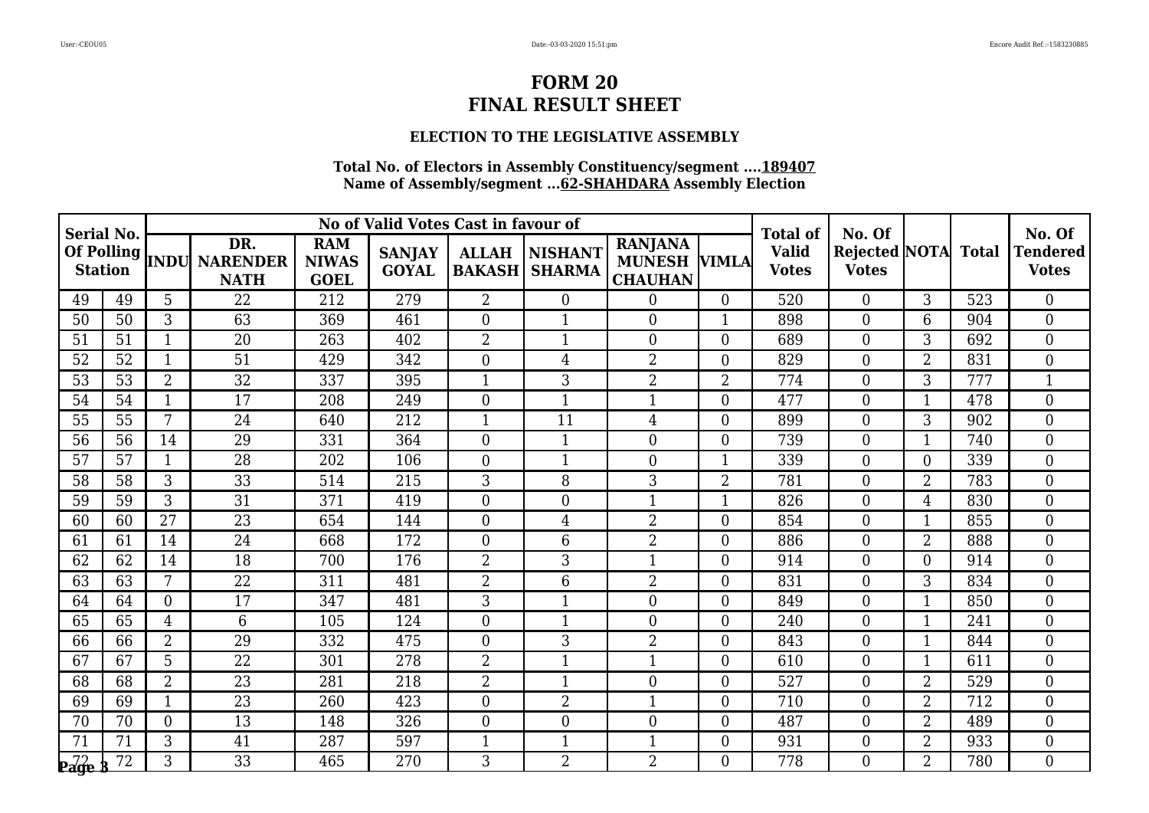# **ELECTION TO THE LEGISLATIVE ASSEMBLY**

| <b>Serial No.</b> |    |                |                                                 |                                           | No of Valid Votes Cast in favour of |                               |                                 |                                                         |                  | <b>Total of</b>              | No. Of                                     |                |     | No. Of                          |
|-------------------|----|----------------|-------------------------------------------------|-------------------------------------------|-------------------------------------|-------------------------------|---------------------------------|---------------------------------------------------------|------------------|------------------------------|--------------------------------------------|----------------|-----|---------------------------------|
|                   |    |                | DR.<br>Of Polling  INDU NARENDER<br><b>NATH</b> | <b>RAM</b><br><b>NIWAS</b><br><b>GOEL</b> | <b>SANJAY</b><br><b>GOYAL</b>       | <b>ALLAH</b><br><b>BAKASH</b> | <b>NISHANT</b><br><b>SHARMA</b> | <b>RANJANA</b><br><b>MUNESH VIMLA</b><br><b>CHAUHAN</b> |                  | <b>Valid</b><br><b>Votes</b> | <b>Rejected NOTA</b> Total<br><b>Votes</b> |                |     | <b>Tendered</b><br><b>Votes</b> |
| 49                | 49 | 5              | 22                                              | 212                                       | 279                                 | $\overline{2}$                | $\overline{0}$                  | $\overline{0}$                                          | $\overline{0}$   | 520                          | $\overline{0}$                             | 3              | 523 | $\overline{0}$                  |
| 50                | 50 | 3              | 63                                              | 369                                       | 461                                 | $\overline{0}$                | $\mathbf{1}$                    | $\Omega$                                                | $\mathbf{1}$     | 898                          | $\theta$                                   | 6              | 904 | $\theta$                        |
| 51                | 51 | $\mathbf{1}$   | 20                                              | 263                                       | 402                                 | $\overline{2}$                | $\mathbf{1}$                    | $\overline{0}$                                          | $\overline{0}$   | 689                          | $\overline{0}$                             | 3              | 692 | $\overline{0}$                  |
| 52                | 52 |                | $\overline{51}$                                 | 429                                       | 342                                 | $\Omega$                      | $\overline{4}$                  | $\overline{2}$                                          | $\overline{0}$   | 829                          | $\overline{0}$                             | $\overline{2}$ | 831 | $\overline{0}$                  |
| 53                | 53 | $\overline{2}$ | 32                                              | 337                                       | 395                                 | $\mathbf{1}$                  | 3                               | $\overline{2}$                                          | $\overline{2}$   | 774                          | $\overline{0}$                             | 3              | 777 | 1                               |
| 54                | 54 | $\mathbf{1}$   | 17                                              | 208                                       | 249                                 | $\Omega$                      | 1                               | $\mathbf{1}$                                            | $\boldsymbol{0}$ | 477                          | $\overline{0}$                             | $\mathbf{1}$   | 478 | $\boldsymbol{0}$                |
| 55                | 55 | 7              | 24                                              | 640                                       | 212                                 | 1                             | 11                              | $\overline{4}$                                          | $\boldsymbol{0}$ | 899                          | $\overline{0}$                             | 3              | 902 | $\overline{0}$                  |
| 56                | 56 | 14             | 29                                              | 331                                       | 364                                 | $\overline{0}$                | 1                               | $\overline{0}$                                          | $\overline{0}$   | 739                          | $\overline{0}$                             |                | 740 | $\overline{0}$                  |
| 57                | 57 |                | $\overline{28}$                                 | 202                                       | 106                                 | $\Omega$                      | 1                               | $\overline{0}$                                          |                  | 339                          | $\overline{0}$                             | $\theta$       | 339 | $\overline{0}$                  |
| 58                | 58 | 3              | $\overline{33}$                                 | 514                                       | 215                                 | 3                             | 8                               | 3                                                       | $\overline{2}$   | 781                          | $\overline{0}$                             | $\overline{2}$ | 783 | $\theta$                        |
| 59                | 59 | 3              | 31                                              | 371                                       | 419                                 | $\Omega$                      | $\overline{0}$                  | 1                                                       |                  | 826                          | $\overline{0}$                             | 4              | 830 | $\overline{0}$                  |
| 60                | 60 | 27             | 23                                              | 654                                       | 144                                 | $\Omega$                      | $\overline{4}$                  | $\overline{2}$                                          | $\boldsymbol{0}$ | 854                          | $\overline{0}$                             |                | 855 | $\overline{0}$                  |
| 61                | 61 | 14             | 24                                              | 668                                       | 172                                 | $\Omega$                      | 6                               | $\overline{2}$                                          | $\overline{0}$   | 886                          | $\overline{0}$                             | $\overline{2}$ | 888 | $\overline{0}$                  |
| 62                | 62 | 14             | 18                                              | 700                                       | 176                                 | $\overline{2}$                | 3                               |                                                         | $\boldsymbol{0}$ | 914                          | $\overline{0}$                             | $\Omega$       | 914 | $\overline{0}$                  |
| 63                | 63 | 7              | 22                                              | 311                                       | 481                                 | $\overline{2}$                | 6                               | $\overline{2}$                                          | $\overline{0}$   | 831                          | $\overline{0}$                             | 3              | 834 | $\overline{0}$                  |
| 64                | 64 | $\Omega$       | 17                                              | 347                                       | 481                                 | 3                             | $\mathbf{1}$                    | $\Omega$                                                | $\overline{0}$   | 849                          | $\overline{0}$                             | $\mathbf 1$    | 850 | $\overline{0}$                  |
| 65                | 65 | $\overline{4}$ | 6                                               | 105                                       | 124                                 | $\Omega$                      | $\mathbf{1}$                    | $\overline{0}$                                          | $\overline{0}$   | 240                          | $\overline{0}$                             | $\mathbf{1}$   | 241 | $\overline{0}$                  |
| 66                | 66 | $\overline{2}$ | $\overline{29}$                                 | 332                                       | 475                                 | $\Omega$                      | 3                               | $\overline{2}$                                          | $\overline{0}$   | 843                          | $\theta$                                   | $\mathbf 1$    | 844 | $\theta$                        |
| 67                | 67 | 5              | 22                                              | 301                                       | 278                                 | $\overline{2}$                | 1                               |                                                         | $\boldsymbol{0}$ | 610                          | $\overline{0}$                             |                | 611 | $\overline{0}$                  |
| 68                | 68 | $\overline{2}$ | 23                                              | 281                                       | 218                                 | $\overline{2}$                | 1                               | $\overline{0}$                                          | $\boldsymbol{0}$ | 527                          | $\overline{0}$                             | $\overline{2}$ | 529 | $\overline{0}$                  |
| 69                | 69 | $\mathbf{1}$   | 23                                              | 260                                       | 423                                 | $\Omega$                      | $\overline{2}$                  | $\mathbf{1}$                                            | $\overline{0}$   | 710                          | $\mathbf{0}$                               | $\overline{2}$ | 712 | $\overline{0}$                  |
| 70                | 70 | $\overline{0}$ | 13                                              | 148                                       | 326                                 | $\overline{0}$                | $\overline{0}$                  | $\overline{0}$                                          | $\boldsymbol{0}$ | 487                          | $\overline{0}$                             | $\overline{2}$ | 489 | $\overline{0}$                  |
| 71                | 71 | 3              | 41                                              | 287                                       | 597                                 | $\mathbf{1}$                  | $\mathbf{1}$                    | $\mathbf{1}$                                            | $\boldsymbol{0}$ | 931                          | $\overline{0}$                             | $\overline{2}$ | 933 | $\overline{0}$                  |
| $\mathbf{p}$ age  | 72 | 3              | 33                                              | 465                                       | 270                                 | 3                             | $\overline{2}$                  | 2                                                       | $\Omega$         | 778                          | $\Omega$                                   | $\overline{2}$ | 780 | $\theta$                        |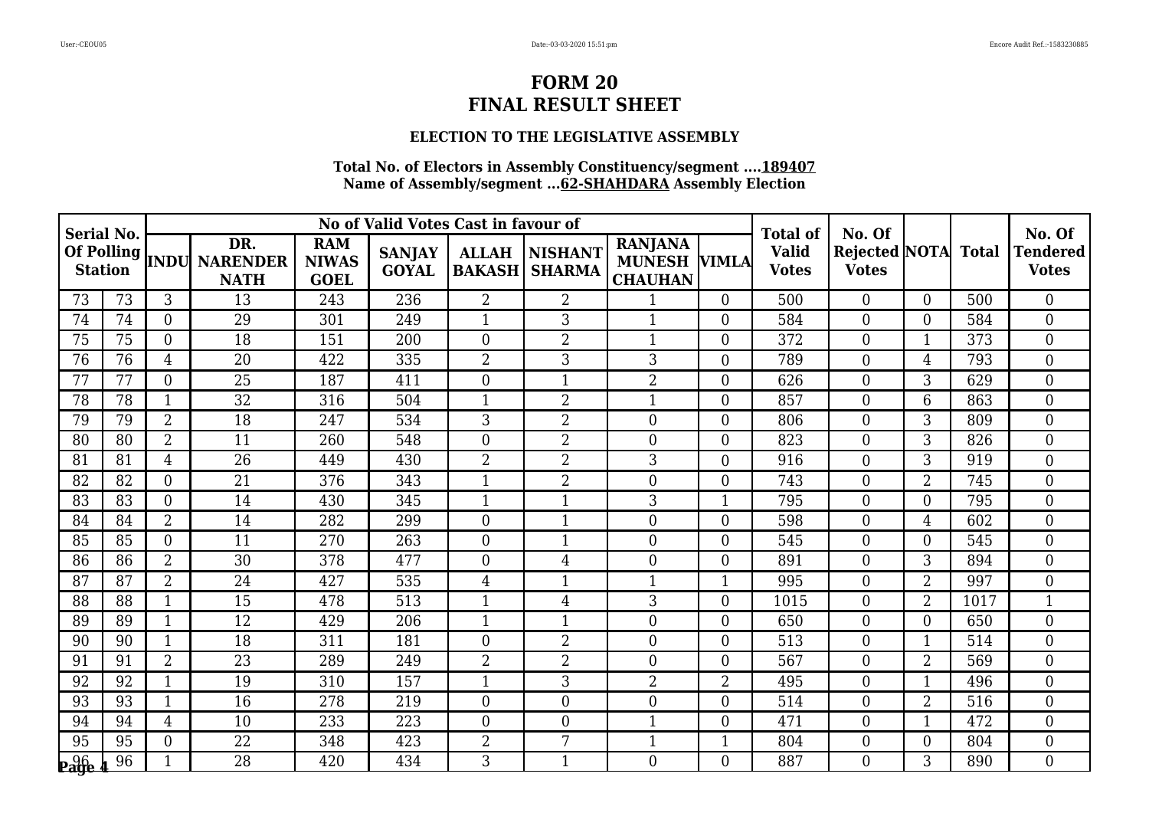# **ELECTION TO THE LEGISLATIVE ASSEMBLY**

| <b>Serial No.</b> |    |                |                                                 |                                           | No of Valid Votes Cast in favour of |                               |                                 |                                                         |                  | <b>Total of</b>              | No. Of                                     |                |      | No. Of                          |
|-------------------|----|----------------|-------------------------------------------------|-------------------------------------------|-------------------------------------|-------------------------------|---------------------------------|---------------------------------------------------------|------------------|------------------------------|--------------------------------------------|----------------|------|---------------------------------|
|                   |    |                | DR.<br>Of Polling  INDU NARENDER<br><b>NATH</b> | <b>RAM</b><br><b>NIWAS</b><br><b>GOEL</b> | <b>SANJAY</b><br><b>GOYAL</b>       | <b>ALLAH</b><br><b>BAKASH</b> | <b>NISHANT</b><br><b>SHARMA</b> | <b>RANJANA</b><br><b>MUNESH VIMLA</b><br><b>CHAUHAN</b> |                  | <b>Valid</b><br><b>Votes</b> | <b>Rejected NOTA</b> Total<br><b>Votes</b> |                |      | <b>Tendered</b><br><b>Votes</b> |
| 73                | 73 | 3              | 13                                              | 243                                       | 236                                 | $\overline{2}$                | $\overline{2}$                  | $\mathbf{1}$                                            | $\overline{0}$   | 500                          | $\overline{0}$                             | $\Omega$       | 500  | $\overline{0}$                  |
| 74                | 74 | $\Omega$       | 29                                              | 301                                       | 249                                 | 1                             | 3                               | $\mathbf{1}$                                            | $\overline{0}$   | 584                          | $\overline{0}$                             | $\overline{0}$ | 584  | $\theta$                        |
| 75                | 75 | $\Omega$       | 18                                              | 151                                       | 200                                 | $\Omega$                      | $\overline{2}$                  |                                                         | $\overline{0}$   | 372                          | $\overline{0}$                             |                | 373  | $\overline{0}$                  |
| 76                | 76 | 4              | $\overline{20}$                                 | 422                                       | 335                                 | $\overline{2}$                | 3                               | 3                                                       | $\overline{0}$   | 789                          | $\overline{0}$                             | 4              | 793  | $\overline{0}$                  |
| 77                | 77 | $\Omega$       | 25                                              | 187                                       | 411                                 | $\Omega$                      | 1                               | $\overline{2}$                                          | $\overline{0}$   | 626                          | $\overline{0}$                             | 3              | 629  | $\overline{0}$                  |
| 78                | 78 | $\mathbf{1}$   | 32                                              | 316                                       | 504                                 | 1                             | $\overline{2}$                  | $\mathbf{1}$                                            | $\boldsymbol{0}$ | 857                          | $\overline{0}$                             | 6              | 863  | $\boldsymbol{0}$                |
| 79                | 79 | $\overline{2}$ | 18                                              | 247                                       | 534                                 | 3                             | $\overline{2}$                  | $\overline{0}$                                          | $\boldsymbol{0}$ | 806                          | $\mathbf{0}$                               | 3              | 809  | $\overline{0}$                  |
| 80                | 80 | $\overline{2}$ | 11                                              | 260                                       | 548                                 | $\Omega$                      | $\overline{2}$                  | $\overline{0}$                                          | $\overline{0}$   | 823                          | $\overline{0}$                             | 3              | 826  | $\overline{0}$                  |
| 81                | 81 | $\overline{4}$ | $\overline{26}$                                 | 449                                       | 430                                 | $\overline{2}$                | $\overline{2}$                  | 3                                                       | $\boldsymbol{0}$ | 916                          | $\mathbf{0}$                               | $\overline{3}$ | 919  | $\overline{0}$                  |
| 82                | 82 | $\Omega$       | 21                                              | 376                                       | 343                                 | 1                             | $\overline{2}$                  | $\Omega$                                                | $\overline{0}$   | 743                          | $\overline{0}$                             | $\overline{2}$ | 745  | $\theta$                        |
| 83                | 83 | $\Omega$       | 14                                              | 430                                       | 345                                 | 1                             | $\mathbf{1}$                    | 3                                                       | $\mathbf 1$      | 795                          | $\overline{0}$                             | $\Omega$       | 795  | $\overline{0}$                  |
| 84                | 84 | $\overline{2}$ | 14                                              | 282                                       | 299                                 | $\Omega$                      | $\mathbf{1}$                    | $\overline{0}$                                          | $\boldsymbol{0}$ | 598                          | $\overline{0}$                             | $\overline{4}$ | 602  | $\overline{0}$                  |
| 85                | 85 | $\Omega$       | 11                                              | 270                                       | 263                                 | $\theta$                      | 1                               | $\theta$                                                | $\overline{0}$   | 545                          | $\overline{0}$                             | $\Omega$       | 545  | $\overline{0}$                  |
| 86                | 86 | $\overline{2}$ | 30                                              | 378                                       | 477                                 | $\Omega$                      | 4                               | $\overline{0}$                                          | $\boldsymbol{0}$ | 891                          | $\overline{0}$                             | 3              | 894  | $\overline{0}$                  |
| 87                | 87 | $\overline{2}$ | 24                                              | 427                                       | 535                                 | $\overline{4}$                | 1                               |                                                         |                  | 995                          | $\overline{0}$                             | $\overline{2}$ | 997  | $\overline{0}$                  |
| 88                | 88 | 1              | 15                                              | 478                                       | 513                                 | 1                             | 4                               | 3                                                       | $\overline{0}$   | 1015                         | $\overline{0}$                             | $\overline{2}$ | 1017 | $\mathbf{1}$                    |
| 89                | 89 | 1              | 12                                              | 429                                       | 206                                 | 1                             | $\mathbf{1}$                    | $\overline{0}$                                          | $\overline{0}$   | 650                          | $\overline{0}$                             | $\Omega$       | 650  | $\overline{0}$                  |
| 90                | 90 | $\mathbf{1}$   | 18                                              | 311                                       | 181                                 | $\Omega$                      | $\overline{2}$                  | $\overline{0}$                                          | $\overline{0}$   | 513                          | $\theta$                                   | $\mathbf 1$    | 514  | $\theta$                        |
| 91                | 91 | $\overline{2}$ | 23                                              | 289                                       | 249                                 | $\overline{2}$                | $\overline{2}$                  | $\overline{0}$                                          | $\boldsymbol{0}$ | 567                          | $\overline{0}$                             | $\overline{2}$ | 569  | $\overline{0}$                  |
| 92                | 92 | $\mathbf{1}$   | 19                                              | 310                                       | 157                                 | 1                             | 3                               | $\overline{2}$                                          | $\overline{2}$   | 495                          | $\mathbf{0}$                               | $\mathbf 1$    | 496  | $\overline{0}$                  |
| 93                | 93 | $\mathbf{1}$   | 16                                              | 278                                       | 219                                 | $\Omega$                      | $\overline{0}$                  | $\overline{0}$                                          | $\overline{0}$   | 514                          | $\mathbf{0}$                               | $\overline{2}$ | 516  | $\overline{0}$                  |
| 94                | 94 | 4              | 10                                              | 233                                       | 223                                 | $\Omega$                      | $\overline{0}$                  |                                                         | $\boldsymbol{0}$ | 471                          | $\overline{0}$                             |                | 472  | $\overline{0}$                  |
| 95                | 95 | $\Omega$       | 22                                              | 348                                       | 423                                 | $\overline{2}$                | 7                               | $\mathbf{1}$                                            | 1                | 804                          | $\overline{0}$                             | $\Omega$       | 804  | $\overline{0}$                  |
| <b>Page</b>       | 96 |                | 28                                              | 420                                       | 434                                 | 3                             | $\mathbf{1}$                    | $\Omega$                                                | $\Omega$         | 887                          | $\Omega$                                   | $\mathcal{S}$  | 890  | $\theta$                        |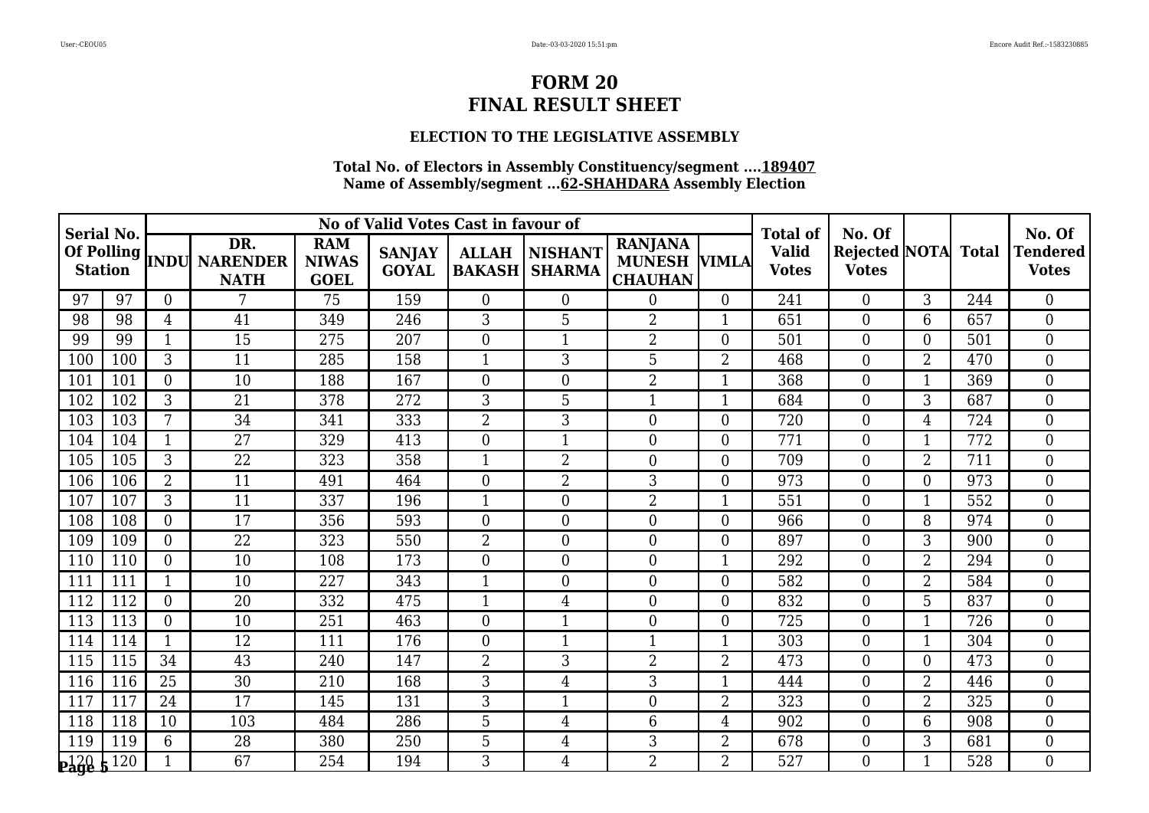# **ELECTION TO THE LEGISLATIVE ASSEMBLY**

| <b>Serial No.</b>                           |     |                |                                            |                                           | No of Valid Votes Cast in favour of |                               |                                 |                                                         |                | <b>Total of</b>              | No. Of                                     |                |     | No. Of                          |
|---------------------------------------------|-----|----------------|--------------------------------------------|-------------------------------------------|-------------------------------------|-------------------------------|---------------------------------|---------------------------------------------------------|----------------|------------------------------|--------------------------------------------|----------------|-----|---------------------------------|
| Of Polling<br><b>Station</b>                |     |                | DR.<br><b>INDU NARENDER</b><br><b>NATH</b> | <b>RAM</b><br><b>NIWAS</b><br><b>GOEL</b> | <b>SANJAY</b><br><b>GOYAL</b>       | <b>ALLAH</b><br><b>BAKASH</b> | <b>NISHANT</b><br><b>SHARMA</b> | <b>RANJANA</b><br><b>MUNESH VIMLA</b><br><b>CHAUHAN</b> |                | <b>Valid</b><br><b>Votes</b> | <b>Rejected NOTA</b> Total<br><b>Votes</b> |                |     | <b>Tendered</b><br><b>Votes</b> |
| 97                                          | 97  | $\theta$       | 7                                          | 75                                        | 159                                 | $\overline{0}$                | $\overline{0}$                  | $\overline{0}$                                          | $\overline{0}$ | 241                          | $\overline{0}$                             | $\overline{3}$ | 244 | $\overline{0}$                  |
| 98                                          | 98  | 4              | 41                                         | 349                                       | 246                                 | 3                             | 5                               | $\overline{2}$                                          | 1              | 651                          | $\overline{0}$                             | 6              | 657 | $\overline{0}$                  |
| 99                                          | 99  | 1              | 15                                         | 275                                       | 207                                 | $\overline{0}$                | $\mathbf{1}$                    | $\overline{2}$                                          | $\overline{0}$ | 501                          | $\overline{0}$                             | $\Omega$       | 501 | $\overline{0}$                  |
| 100                                         | 100 | 3              | 11                                         | 285                                       | 158                                 | 1                             | 3                               | 5                                                       | $\overline{2}$ | 468                          | $\overline{0}$                             | $\overline{2}$ | 470 | $\overline{0}$                  |
| 101                                         | 101 | $\Omega$       | 10                                         | 188                                       | 167                                 | $\overline{0}$                | $\theta$                        | $\overline{2}$                                          | 1              | 368                          | $\overline{0}$                             |                | 369 | $\theta$                        |
| 102                                         | 102 | 3              | 21                                         | 378                                       | 272                                 | 3                             | 5                               |                                                         | $\mathbf{1}$   | 684                          | $\boldsymbol{0}$                           | 3              | 687 | $\boldsymbol{0}$                |
| 103                                         | 103 | 7              | 34                                         | 341                                       | 333                                 | $\overline{2}$                | 3                               | $\theta$                                                | $\overline{0}$ | 720                          | $\boldsymbol{0}$                           | $\overline{4}$ | 724 | $\overline{0}$                  |
| 104                                         | 104 |                | 27                                         | 329                                       | 413                                 | $\overline{0}$                | 1                               | $\theta$                                                | $\overline{0}$ | 771                          | $\overline{0}$                             |                | 772 | $\overline{0}$                  |
| 105                                         | 105 | 3              | $\overline{22}$                            | 323                                       | 358                                 | 1                             | $\overline{2}$                  | $\overline{0}$                                          | $\overline{0}$ | 709                          | $\overline{0}$                             | $\overline{2}$ | 711 | $\overline{0}$                  |
| 106                                         | 106 | $\overline{2}$ | 11                                         | 491                                       | 464                                 | $\overline{0}$                | $\overline{2}$                  | 3                                                       | $\overline{0}$ | 973                          | $\overline{0}$                             | $\Omega$       | 973 | $\overline{0}$                  |
| 107                                         | 107 | 3              | 11                                         | 337                                       | 196                                 | 1                             | $\theta$                        | $\overline{2}$                                          | $\mathbf 1$    | 551                          | $\boldsymbol{0}$                           |                | 552 | $\overline{0}$                  |
| 108                                         | 108 | $\overline{0}$ | 17                                         | 356                                       | 593                                 | $\overline{0}$                | $\overline{0}$                  | $\overline{0}$                                          | $\overline{0}$ | 966                          | $\boldsymbol{0}$                           | 8              | 974 | $\overline{0}$                  |
| 109                                         | 109 | $\Omega$       | 22                                         | 323                                       | 550                                 | $\overline{2}$                | $\overline{0}$                  | $\Omega$                                                | $\overline{0}$ | 897                          | $\overline{0}$                             | 3              | 900 | $\theta$                        |
| 110                                         | 110 | $\theta$       | 10                                         | 108                                       | 173                                 | $\overline{0}$                | $\theta$                        | $\overline{0}$                                          | 1              | 292                          | $\boldsymbol{0}$                           | 2              | 294 | $\overline{0}$                  |
| 111                                         | 111 |                | 10                                         | 227                                       | 343                                 | $\mathbf{1}$                  | $\overline{0}$                  | $\overline{0}$                                          | $\overline{0}$ | 582                          | $\overline{0}$                             | $\overline{2}$ | 584 | $\overline{0}$                  |
| 112                                         | 112 | $\Omega$       | 20                                         | 332                                       | 475                                 | $\mathbf{1}$                  | 4                               | $\overline{0}$                                          | $\overline{0}$ | 832                          | $\overline{0}$                             | 5              | 837 | $\overline{0}$                  |
| 113                                         | 113 | $\Omega$       | 10                                         | 251                                       | 463                                 | $\overline{0}$                | $\mathbf{1}$                    | $\overline{0}$                                          | $\overline{0}$ | 725                          | $\overline{0}$                             | $\mathbf{1}$   | 726 | $\overline{0}$                  |
| 114                                         | 114 | 1              | 12                                         | 111                                       | 176                                 | $\overline{0}$                | $\mathbf{1}$                    | -1                                                      | $\mathbf{1}$   | 303                          | $\overline{0}$                             |                | 304 | $\theta$                        |
| 115                                         | 115 | 34             | 43                                         | 240                                       | 147                                 | $\overline{2}$                | 3                               | $\overline{2}$                                          | $\overline{2}$ | 473                          | $\overline{0}$                             | $\Omega$       | 473 | $\overline{0}$                  |
| 116                                         | 116 | 25             | 30                                         | 210                                       | 168                                 | 3                             | 4                               | 3                                                       | 1              | 444                          | $\boldsymbol{0}$                           | $\overline{2}$ | 446 | $\overline{0}$                  |
| 117                                         | 117 | 24             | 17                                         | 145                                       | 131                                 | 3                             | $\mathbf{1}$                    | $\Omega$                                                | $\overline{2}$ | 323                          | $\overline{0}$                             | $\overline{2}$ | 325 | $\overline{0}$                  |
| 118                                         | 118 | 10             | 103                                        | 484                                       | 286                                 | 5                             | 4                               | 6                                                       | 4              | 902                          | $\boldsymbol{0}$                           | 6              | 908 | $\overline{0}$                  |
| 119                                         | 119 | 6              | 28                                         | 380                                       | 250                                 | 5                             | 4                               | 3                                                       | $\overline{2}$ | 678                          | $\boldsymbol{0}$                           | 3              | 681 | $\overline{0}$                  |
| $\mathbf{p}_\mathbf{a}\mathbf{g}\mathbf{e}$ | 120 |                | 67                                         | 254                                       | 194                                 | 3                             | 4                               | $\overline{2}$                                          | $\overline{2}$ | 527                          | $\Omega$                                   | -1             | 528 | $\theta$                        |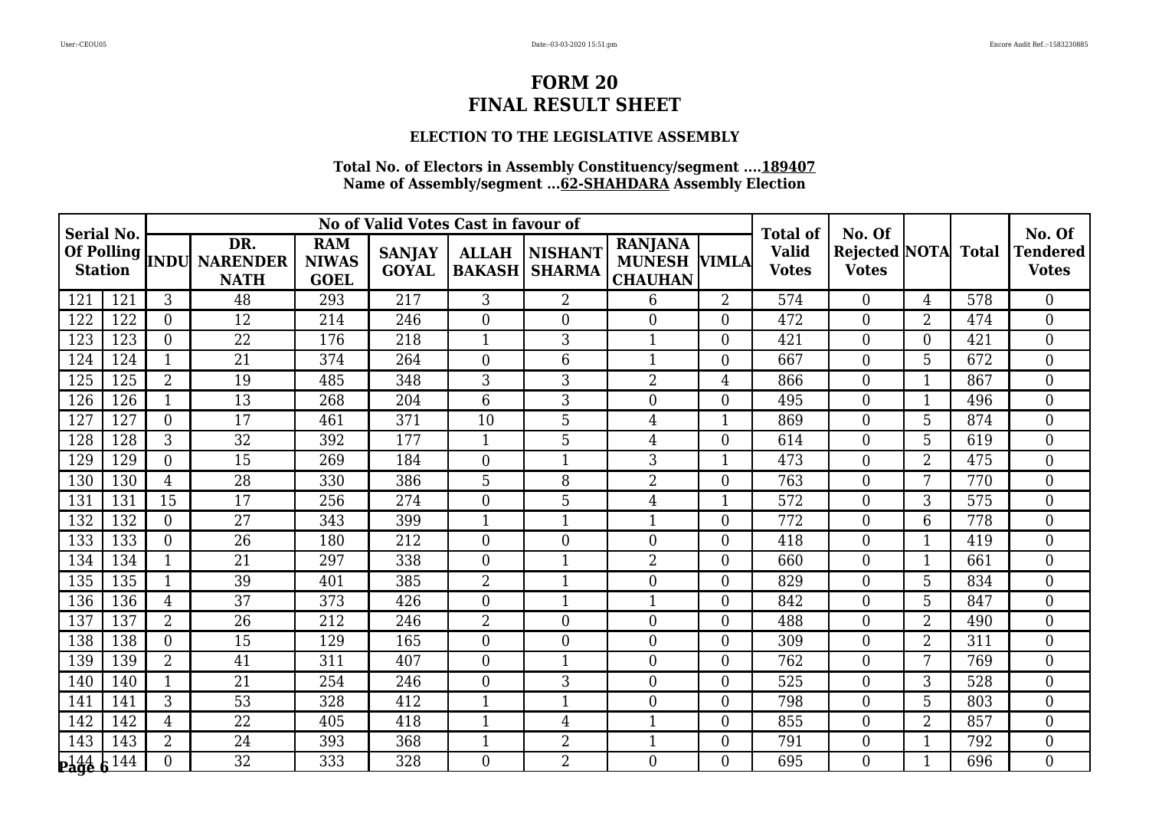# **ELECTION TO THE LEGISLATIVE ASSEMBLY**

| <b>Serial No.</b>   |     |                |                                                     | No of Valid Votes Cast in favour of       |                               |                               |                                 |                                                         | <b>Total of</b>  | No. Of                       |                                            |                | No. Of |                                 |
|---------------------|-----|----------------|-----------------------------------------------------|-------------------------------------------|-------------------------------|-------------------------------|---------------------------------|---------------------------------------------------------|------------------|------------------------------|--------------------------------------------|----------------|--------|---------------------------------|
| <b>Station</b>      |     |                | DR.<br>Of Polling  <br>INDU NARENDER<br><b>NATH</b> | <b>RAM</b><br><b>NIWAS</b><br><b>GOEL</b> | <b>SANJAY</b><br><b>GOYAL</b> | <b>ALLAH</b><br><b>BAKASH</b> | <b>NISHANT</b><br><b>SHARMA</b> | <b>RANJANA</b><br><b>MUNESH VIMLA</b><br><b>CHAUHAN</b> |                  | <b>Valid</b><br><b>Votes</b> | <b>Rejected NOTA</b> Total<br><b>Votes</b> |                |        | <b>Tendered</b><br><b>Votes</b> |
| 121                 | 121 | 3              | 48                                                  | 293                                       | 217                           | 3                             | $\overline{2}$                  | 6                                                       | $\overline{2}$   | 574                          | $\Omega$                                   | $\overline{4}$ | 578    | $\overline{0}$                  |
| 122                 | 122 | $\overline{0}$ | 12                                                  | 214                                       | 246                           | $\overline{0}$                | $\overline{0}$                  | $\overline{0}$                                          | $\boldsymbol{0}$ | 472                          | $\boldsymbol{0}$                           | $\overline{2}$ | 474    | $\boldsymbol{0}$                |
| 123                 | 123 | $\Omega$       | 22                                                  | 176                                       | 218                           | $\mathbf{1}$                  | 3                               | $\mathbf{1}$                                            | $\boldsymbol{0}$ | 421                          | $\boldsymbol{0}$                           | 0              | 421    | $\boldsymbol{0}$                |
| 124                 | 124 | $\mathbf{1}$   | 21                                                  | 374                                       | 264                           | $\overline{0}$                | 6                               | $\mathbf{1}$                                            | $\boldsymbol{0}$ | 667                          | $\overline{0}$                             | 5              | 672    | $\overline{0}$                  |
| 125                 | 125 | $\overline{2}$ | 19                                                  | 485                                       | 348                           | 3                             | 3                               | $\overline{2}$                                          | 4                | 866                          | $\boldsymbol{0}$                           | $\mathbf 1$    | 867    | $\overline{0}$                  |
| 126                 | 126 | $\mathbf{1}$   | 13                                                  | 268                                       | 204                           | 6                             | 3                               | $\overline{0}$                                          | $\overline{0}$   | 495                          | $\overline{0}$                             | $\mathbf 1$    | 496    | $\overline{0}$                  |
| 127                 | 127 | $\Omega$       | 17                                                  | 461                                       | 371                           | 10                            | 5                               | $\overline{4}$                                          | $\mathbf{1}$     | 869                          | $\overline{0}$                             | 5              | 874    | $\overline{0}$                  |
| 128                 | 128 | 3              | 32                                                  | 392                                       | 177                           | $\mathbf{1}$                  | 5                               | $\overline{4}$                                          | $\overline{0}$   | 614                          | $\overline{0}$                             | 5 <sup>5</sup> | 619    | $\theta$                        |
| 129                 | 129 | $\Omega$       | 15                                                  | 269                                       | 184                           | $\overline{0}$                | $\mathbf 1$                     | 3                                                       | $\mathbf{1}$     | 473                          | $\overline{0}$                             | $\overline{2}$ | 475    | $\overline{0}$                  |
| 130                 | 130 | $\overline{4}$ | 28                                                  | 330                                       | 386                           | 5                             | 8                               | $\overline{2}$                                          | $\overline{0}$   | 763                          | $\overline{0}$                             | 7              | 770    | $\overline{0}$                  |
| 131                 | 131 | 15             | 17                                                  | 256                                       | 274                           | $\Omega$                      | 5                               | $\overline{4}$                                          | 1                | 572                          | $\overline{0}$                             | 3              | 575    | $\overline{0}$                  |
| 132                 | 132 | $\Omega$       | 27                                                  | 343                                       | 399                           | $\mathbf{1}$                  | 1                               |                                                         | $\boldsymbol{0}$ | 772                          | $\overline{0}$                             | 6              | 778    | $\overline{0}$                  |
| 133                 | 133 | $\Omega$       | 26                                                  | 180                                       | 212                           | $\overline{0}$                | $\overline{0}$                  | $\overline{0}$                                          | $\boldsymbol{0}$ | 418                          | $\boldsymbol{0}$                           | $\mathbf 1$    | 419    | $\boldsymbol{0}$                |
| 134                 | 134 | $\mathbf{1}$   | 21                                                  | 297                                       | 338                           | $\overline{0}$                | 1                               | $\overline{2}$                                          | $\overline{0}$   | 660                          | $\overline{0}$                             | -1             | 661    | $\overline{0}$                  |
| 135                 | 135 | $\mathbf{1}$   | 39                                                  | 401                                       | 385                           | $\overline{2}$                | $\mathbf{1}$                    | $\overline{0}$                                          | $\overline{0}$   | 829                          | $\theta$                                   | 5              | 834    | $\overline{0}$                  |
| 136                 | 136 | 4              | 37                                                  | 373                                       | 426                           | $\overline{0}$                | $\overline{\phantom{a}}$        | 1                                                       | $\boldsymbol{0}$ | 842                          | $\overline{0}$                             | 5              | 847    | $\boldsymbol{0}$                |
| 137                 | 137 | $\overline{2}$ | 26                                                  | 212                                       | 246                           | $\overline{2}$                | $\overline{0}$                  | $\overline{0}$                                          | $\boldsymbol{0}$ | 488                          | $\boldsymbol{0}$                           | $\overline{2}$ | 490    | $\boldsymbol{0}$                |
| 138                 | 138 | $\Omega$       | 15                                                  | 129                                       | 165                           | $\overline{0}$                | $\theta$                        | $\Omega$                                                | $\overline{0}$   | 309                          | $\overline{0}$                             | $\overline{2}$ | 311    | $\overline{0}$                  |
| 139                 | 139 | $\overline{2}$ | 41                                                  | 311                                       | 407                           | $\overline{0}$                |                                 | $\overline{0}$                                          | $\boldsymbol{0}$ | 762                          | $\boldsymbol{0}$                           |                | 769    | $\boldsymbol{0}$                |
| 140                 | 140 | $\mathbf{1}$   | 21                                                  | 254                                       | 246                           | $\overline{0}$                | 3                               | $\boldsymbol{0}$                                        | $\boldsymbol{0}$ | 525                          | $\overline{0}$                             | 3              | 528    | $\mathbf{0}$                    |
| 141                 | 141 | 3              | 53                                                  | 328                                       | 412                           | $\mathbf{1}$                  | $\mathbf 1$                     | $\theta$                                                | $\boldsymbol{0}$ | 798                          | $\overline{0}$                             | 5              | 803    | $\overline{0}$                  |
| 142                 | 142 | 4              | $\overline{22}$                                     | 405                                       | 418                           | $\mathbf{1}$                  | $\overline{4}$                  |                                                         | $\overline{0}$   | 855                          | $\overline{0}$                             | $\overline{2}$ | 857    | $\overline{0}$                  |
| 143                 | 143 | $\overline{2}$ | 24                                                  | 393                                       | 368                           | 1                             | $\overline{2}$                  |                                                         | $\boldsymbol{0}$ | 791                          | $\overline{0}$                             | 1              | 792    | $\boldsymbol{0}$                |
| <u>p144</u><br>Page | 144 | 0              | 32                                                  | 333                                       | 328                           | $\Omega$                      | $\overline{2}$                  | $\Omega$                                                | $\Omega$         | 695                          | $\Omega$                                   | $\mathbf 1$    | 696    | $\Omega$                        |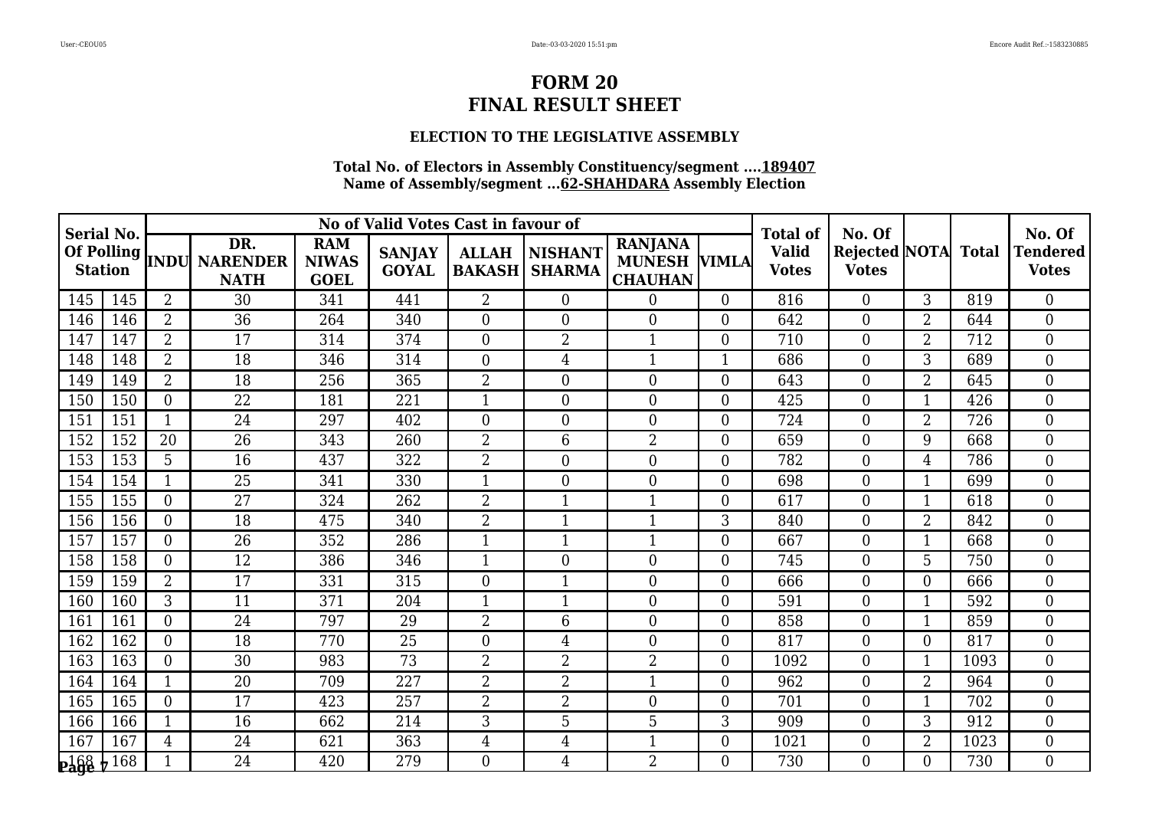# **ELECTION TO THE LEGISLATIVE ASSEMBLY**

| <b>Serial No.</b> |                   |                |                                                     |                                           | No of Valid Votes Cast in favour of |                               |                                 |                                                         |                  | Total of                     | No. Of                                     |                |      | No. Of                          |
|-------------------|-------------------|----------------|-----------------------------------------------------|-------------------------------------------|-------------------------------------|-------------------------------|---------------------------------|---------------------------------------------------------|------------------|------------------------------|--------------------------------------------|----------------|------|---------------------------------|
| <b>Station</b>    |                   |                | DR.<br>Of Polling  <br>INDU NARENDER<br><b>NATH</b> | <b>RAM</b><br><b>NIWAS</b><br><b>GOEL</b> | <b>SANJAY</b><br><b>GOYAL</b>       | <b>ALLAH</b><br><b>BAKASH</b> | <b>NISHANT</b><br><b>SHARMA</b> | <b>RANJANA</b><br><b>MUNESH VIMLA</b><br><b>CHAUHAN</b> |                  | <b>Valid</b><br><b>Votes</b> | <b>Rejected NOTA</b> Total<br><b>Votes</b> |                |      | <b>Tendered</b><br><b>Votes</b> |
| 145               | 145               | $\overline{2}$ | 30                                                  | 341                                       | 441                                 | $\overline{2}$                | $\overline{0}$                  | $\overline{0}$                                          | $\overline{0}$   | 816                          | $\overline{0}$                             | 3              | 819  | $\overline{0}$                  |
| 146               | 146               | $\overline{2}$ | 36                                                  | 264                                       | 340                                 | $\Omega$                      | $\theta$                        | $\theta$                                                | $\overline{0}$   | 642                          | $\overline{0}$                             | $\overline{2}$ | 644  | $\overline{0}$                  |
| 147               | 147               | 2              | 17                                                  | 314                                       | 374                                 | $\overline{0}$                | $\overline{2}$                  | 1                                                       | $\overline{0}$   | 710                          | $\overline{0}$                             | $\overline{2}$ | 712  | $\overline{0}$                  |
| 148               | 148               | $\overline{2}$ | 18                                                  | 346                                       | 314                                 | $\overline{0}$                | 4                               | $\mathbf{1}$                                            | $\mathbf{1}$     | 686                          | $\overline{0}$                             | 3              | 689  | $\overline{0}$                  |
| 149               | 149               | $\overline{2}$ | 18                                                  | 256                                       | 365                                 | $\overline{2}$                | $\overline{0}$                  | $\overline{0}$                                          | $\boldsymbol{0}$ | 643                          | $\overline{0}$                             | $\overline{2}$ | 645  | $\overline{0}$                  |
| 150               | 150               | $\Omega$       | 22                                                  | 181                                       | 221                                 | $\mathbf{1}$                  | $\overline{0}$                  | $\overline{0}$                                          | $\boldsymbol{0}$ | 425                          | $\boldsymbol{0}$                           | $\mathbf 1$    | 426  | $\boldsymbol{0}$                |
| 151               | 151               | $\mathbf{1}$   | 24                                                  | 297                                       | 402                                 | $\overline{0}$                | $\overline{0}$                  | $\overline{0}$                                          | $\boldsymbol{0}$ | 724                          | $\boldsymbol{0}$                           | $\overline{2}$ | 726  | $\boldsymbol{0}$                |
| 152               | 152               | 20             | 26                                                  | 343                                       | 260                                 | $\overline{2}$                | 6                               | $\overline{2}$                                          | $\overline{0}$   | 659                          | $\overline{0}$                             | 9              | 668  | $\overline{0}$                  |
| 153               | 153               | 5              | $\overline{16}$                                     | 437                                       | 322                                 | $\overline{2}$                | $\theta$                        | $\overline{0}$                                          | $\boldsymbol{0}$ | 782                          | $\overline{0}$                             | 4              | 786  | $\overline{0}$                  |
| 154               | 154               | $\mathbf{1}$   | 25                                                  | 341                                       | 330                                 | $\mathbf{1}$                  | $\theta$                        | $\theta$                                                | $\overline{0}$   | 698                          | $\overline{0}$                             | 1              | 699  | $\overline{0}$                  |
| 155               | 155               | $\Omega$       | 27                                                  | 324                                       | 262                                 | $\overline{2}$                | 1                               | $\mathbf 1$                                             | $\overline{0}$   | 617                          | $\overline{0}$                             | -1             | 618  | $\overline{0}$                  |
| 156               | 156               | $\overline{0}$ | 18                                                  | 475                                       | 340                                 | $\overline{2}$                | 1                               |                                                         | 3                | 840                          | $\overline{0}$                             | $\overline{2}$ | 842  | $\boldsymbol{0}$                |
| 157               | 157               | $\Omega$       | 26                                                  | 352                                       | 286                                 | 1                             | 1                               | 1                                                       | $\overline{0}$   | 667                          | $\overline{0}$                             | $\mathbf 1$    | 668  | $\overline{0}$                  |
| 158               | 158               | $\Omega$       | 12                                                  | 386                                       | 346                                 | 1                             | $\overline{0}$                  | $\theta$                                                | $\boldsymbol{0}$ | 745                          | $\overline{0}$                             | 5              | 750  | $\overline{0}$                  |
| 159               | 159               | $\overline{2}$ | 17                                                  | 331                                       | 315                                 | $\overline{0}$                | $\overline{1}$                  | $\overline{0}$                                          | $\boldsymbol{0}$ | 666                          | $\overline{0}$                             | $\overline{0}$ | 666  | $\overline{0}$                  |
| 160               | 160               | 3              | 11                                                  | 371                                       | 204                                 | $\mathbf{1}$                  | $\mathbf 1$                     | $\overline{0}$                                          | $\boldsymbol{0}$ | 591                          | $\overline{0}$                             | $\mathbf 1$    | 592  | $\overline{0}$                  |
| 161               | 161               | $\Omega$       | 24                                                  | 797                                       | 29                                  | $\overline{2}$                | 6                               | $\theta$                                                | $\overline{0}$   | 858                          | $\overline{0}$                             | -1             | 859  | $\overline{0}$                  |
| 162               | 162               | $\Omega$       | $\overline{18}$                                     | 770                                       | $\overline{25}$                     | $\overline{0}$                | $\overline{4}$                  | $\overline{0}$                                          | $\overline{0}$   | 817                          | $\overline{0}$                             | 0              | 817  | $\theta$                        |
| 163               | 163               | $\Omega$       | 30                                                  | 983                                       | 73                                  | $\overline{2}$                | $\overline{2}$                  | $\overline{2}$                                          | $\boldsymbol{0}$ | 1092                         | $\overline{0}$                             | -1             | 1093 | $\boldsymbol{0}$                |
| 164               | 164               | $\mathbf 1$    | 20                                                  | 709                                       | 227                                 | $\overline{2}$                | $\overline{2}$                  | $\mathbf 1$                                             | $\boldsymbol{0}$ | 962                          | $\boldsymbol{0}$                           | $\overline{2}$ | 964  | $\boldsymbol{0}$                |
| 165               | 165               | $\overline{0}$ | 17                                                  | 423                                       | 257                                 | $\overline{2}$                | $\overline{2}$                  | $\overline{0}$                                          | $\overline{0}$   | 701                          | $\overline{0}$                             | $\mathbf{1}$   | 702  | $\overline{0}$                  |
| 166               | 166               | $\mathbf 1$    | 16                                                  | 662                                       | 214                                 | 3                             | 5                               | 5                                                       | 3                | 909                          | $\boldsymbol{0}$                           | 3              | 912  | $\boldsymbol{0}$                |
| 167               | 167               | 4              | 24                                                  | 621                                       | 363                                 | 4                             | 4                               | $\mathbf{1}$                                            | $\boldsymbol{0}$ | 1021                         | $\boldsymbol{0}$                           | 2              | 1023 | $\overline{0}$                  |
| $P\frac{168}{9}$  | $\frac{1}{2}$ 168 |                | 24                                                  | 420                                       | 279                                 | 0                             | 4                               | $\overline{2}$                                          | $\Omega$         | 730                          | $\Omega$                                   | 0              | 730  | $\Omega$                        |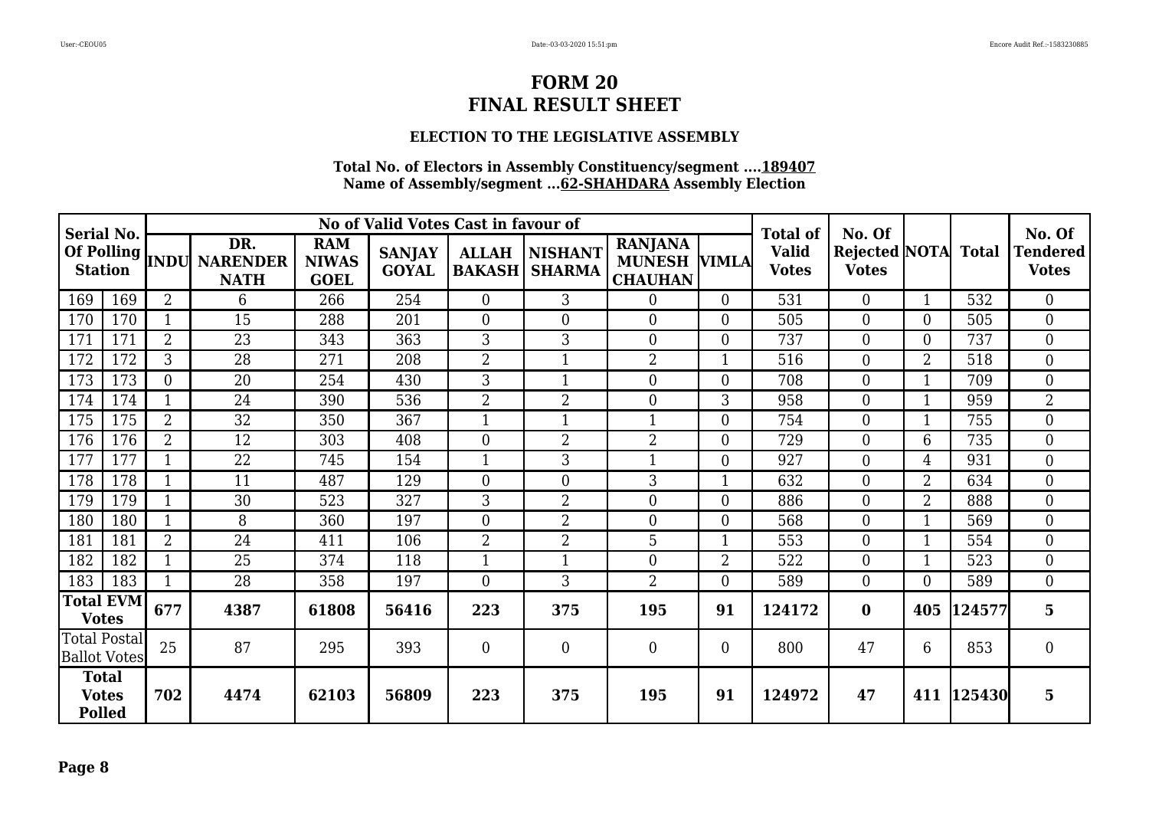# **ELECTION TO THE LEGISLATIVE ASSEMBLY**

| Serial No.                                    |                         |                         |                                            |                                           | No of Valid Votes Cast in favour of |                               |                          |                                                         |                  | <b>Total of</b>              | No. Of                                     |                |            | No. Of                          |
|-----------------------------------------------|-------------------------|-------------------------|--------------------------------------------|-------------------------------------------|-------------------------------------|-------------------------------|--------------------------|---------------------------------------------------------|------------------|------------------------------|--------------------------------------------|----------------|------------|---------------------------------|
| Of Polling<br><b>Station</b>                  |                         |                         | DR.<br><b>INDU NARENDER</b><br><b>NATH</b> | <b>RAM</b><br><b>NIWAS</b><br><b>GOEL</b> | <b>SANJAY</b><br><b>GOYAL</b>       | <b>ALLAH</b><br><b>BAKASH</b> | NISHANT<br><b>SHARMA</b> | <b>RANJANA</b><br><b>MUNESH VIMLA</b><br><b>CHAUHAN</b> |                  | <b>Valid</b><br><b>Votes</b> | <b>Rejected NOTA</b> Total<br><b>Votes</b> |                |            | <b>Tendered</b><br><b>Votes</b> |
| 169                                           | 169                     | $\overline{2}$          | 6                                          | 266                                       | 254                                 | $\overline{0}$                | 3                        | 0                                                       | $\overline{0}$   | 531                          | $\overline{0}$                             |                | 532        | $\overline{0}$                  |
| 170                                           | 170                     |                         | 15                                         | 288                                       | 201                                 | $\overline{0}$                | $\boldsymbol{0}$         | $\overline{0}$                                          | $\theta$         | 505                          | $\boldsymbol{0}$                           | $\Omega$       | 505        | $\overline{0}$                  |
| 171                                           | 171                     | $\overline{2}$          | 23                                         | 343                                       | 363                                 | 3                             | 3                        | $\overline{0}$                                          | $\boldsymbol{0}$ | 737                          | $\boldsymbol{0}$                           | $\theta$       | 737        | $\boldsymbol{0}$                |
| 172                                           | 172                     | 3                       | 28                                         | 271                                       | 208                                 | $\overline{2}$                | $\mathbf{1}$             | $\overline{2}$                                          |                  | 516                          | $\overline{0}$                             | 2              | 518        | $\mathbf{0}$                    |
| 173                                           | 173                     | $\overline{0}$          | 20                                         | 254                                       | 430                                 | 3                             | $\mathbf{1}$             | $\overline{0}$                                          | $\overline{0}$   | 708                          | $\overline{0}$                             |                | 709        | $\overline{0}$                  |
| 174                                           | 174                     | $\mathbf{1}$            | 24                                         | 390                                       | 536                                 | $\overline{2}$                | $\overline{2}$           | $\overline{0}$                                          | 3                | 958                          | $\boldsymbol{0}$                           |                | 959        | $\overline{2}$                  |
| 175                                           | 175                     | 2                       | 32                                         | 350                                       | 367                                 | -1                            | 1                        | 1                                                       | $\overline{0}$   | 754                          | $\overline{0}$                             |                | 755        | $\overline{0}$                  |
| 176                                           | 176                     | $\overline{2}$          | 12                                         | 303                                       | 408                                 | $\theta$                      | $\overline{2}$           | $\overline{2}$                                          | $\overline{0}$   | 729                          | $\boldsymbol{0}$                           | 6              | 735        | $\overline{0}$                  |
| 177                                           | 177                     |                         | 22                                         | 745                                       | 154                                 | -1                            | 3                        | 1                                                       | $\overline{0}$   | 927                          | $\overline{0}$                             | $\overline{4}$ | 931        | $\overline{0}$                  |
| 178                                           | 178                     |                         | 11                                         | 487                                       | 129                                 | $\overline{0}$                | $\boldsymbol{0}$         | 3                                                       |                  | 632                          | $\mathbf{0}$                               | $\overline{2}$ | 634        | $\overline{0}$                  |
| 179                                           | 179                     | $\overline{\mathbf{1}}$ | 30                                         | 523                                       | 327                                 | 3                             | $\overline{2}$           | $\overline{0}$                                          | $\overline{0}$   | 886                          | $\overline{0}$                             | 2              | 888        | $\overline{0}$                  |
| 180                                           | 180                     | $\mathbf{1}$            | 8                                          | 360                                       | 197                                 | $\overline{0}$                | $\overline{2}$           | $\Omega$                                                | $\overline{0}$   | 568                          | $\overline{0}$                             |                | 569        | $\overline{0}$                  |
| 181                                           | 181                     | $\overline{2}$          | 24                                         | 411                                       | 106                                 | $\overline{2}$                | $\overline{2}$           | 5                                                       | 1                | 553                          | $\overline{0}$                             |                | 554        | $\overline{0}$                  |
| 182                                           | 182                     | $\mathbf 1$             | 25                                         | 374                                       | 118                                 | $\mathbf{1}$                  | $\mathbf{1}$             | $\Omega$                                                | $\overline{2}$   | 522                          | $\boldsymbol{0}$                           |                | 523        | $\overline{0}$                  |
| 183                                           | 183                     | $\mathbf{1}$            | 28                                         | 358                                       | 197                                 | $\overline{0}$                | 3                        | $\overline{2}$                                          | $\Omega$         | 589                          | $\overline{0}$                             | $\Omega$       | 589        | $\overline{0}$                  |
| <b>Votes</b>                                  | Total $\text{EVM}\vert$ | 677                     | 4387                                       | 61808                                     | 56416                               | 223                           | 375                      | 195                                                     | 91               | 124172                       | $\bf{0}$                                   | 405            | 124577     | 5                               |
| Total Postal<br><b>Ballot Votes</b>           |                         | 25                      | 87                                         | 295                                       | 393                                 | $\overline{0}$                | $\mathbf{0}$             | $\Omega$                                                | $\overline{0}$   | 800                          | 47                                         | 6              | 853        | $\overline{0}$                  |
| <b>Total</b><br><b>Votes</b><br><b>Polled</b> |                         | 702                     | 4474                                       | 62103                                     | 56809                               | 223                           | 375                      | 195                                                     | 91               | 124972                       | 47                                         |                | 411 125430 | $5\phantom{.}$                  |